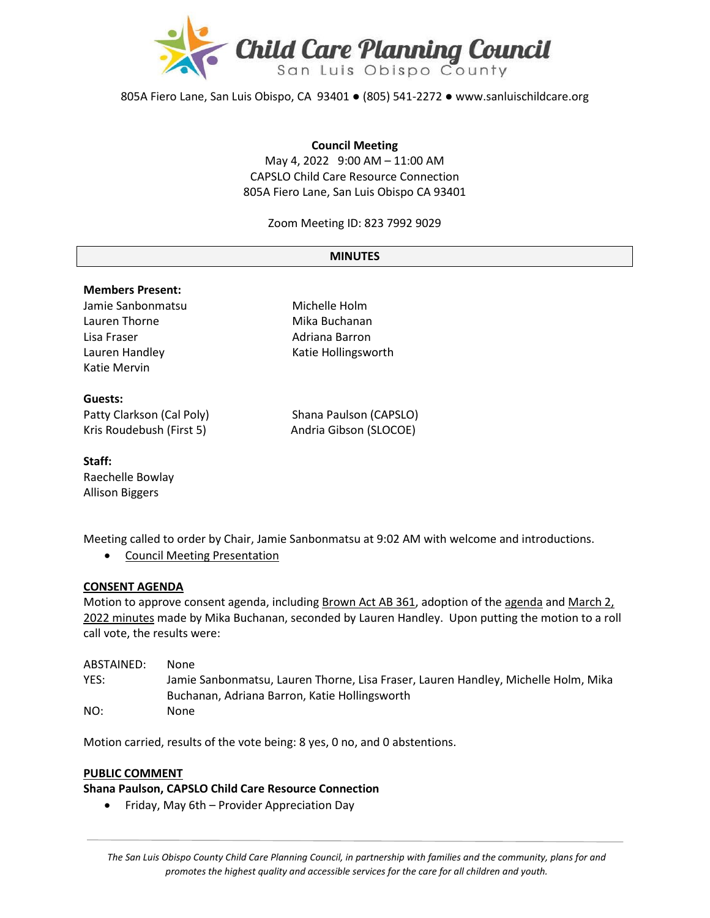

805A Fiero Lane, San Luis Obispo, CA 93401 ● (805) 541-2272 ● www.sanluischildcare.org

#### **Council Meeting**

May 4, 2022 9:00 AM – 11:00 AM CAPSLO Child Care Resource Connection 805A Fiero Lane, San Luis Obispo CA 93401

Zoom Meeting ID: 823 7992 9029

#### **MINUTES**

### **Members Present:**

Jamie Sanbonmatsu Michelle Holm Lauren Thorne **Mika Buchanan** Lisa Fraser **Adriana Barron** Katie Mervin

Lauren Handley **Katie Hollingsworth** 

### **Guests:**

Patty Clarkson (Cal Poly) Shana Paulson (CAPSLO)

Kris Roudebush (First 5) Andria Gibson (SLOCOE)

**Staff:** Raechelle Bowlay Allison Biggers

Meeting called to order by Chair, Jamie Sanbonmatsu at 9:02 AM with welcome and introductions.

• [Council Meeting Presentation](https://drive.google.com/file/d/1Ay9_epoWQaja1EQtsCju0_HhqHfrQOOD/view?usp=sharing)

#### **CONSENT AGENDA**

Motion to approve consent agenda, including [Brown Act AB 361,](https://drive.google.com/file/d/14NmluceWBE9Wug5jCzR99uirp8fGJja7/view?usp=sharing) adoption of th[e agenda](https://drive.google.com/file/d/1TrbaBDhaLg80FrzcBsYgiDrtPWkEGTqJ/view?usp=sharing) and [March](https://drive.google.com/file/d/1pISZUB_RO_DFS3TpobI8K4GJ2VGe1H0z/view?usp=sharing) 2, 2022 [minutes](https://drive.google.com/file/d/1pISZUB_RO_DFS3TpobI8K4GJ2VGe1H0z/view?usp=sharing) made by Mika Buchanan, seconded by Lauren Handley. Upon putting the motion to a roll call vote, the results were:

| ABSTAINED: | None                                                                               |
|------------|------------------------------------------------------------------------------------|
| YES:       | Jamie Sanbonmatsu, Lauren Thorne, Lisa Fraser, Lauren Handley, Michelle Holm, Mika |
|            | Buchanan, Adriana Barron, Katie Hollingsworth                                      |
| NO:        | None                                                                               |

Motion carried, results of the vote being: 8 yes, 0 no, and 0 abstentions.

#### **PUBLIC COMMENT**

**Shana Paulson, CAPSLO Child Care Resource Connection**

• Friday, May 6th – Provider Appreciation Day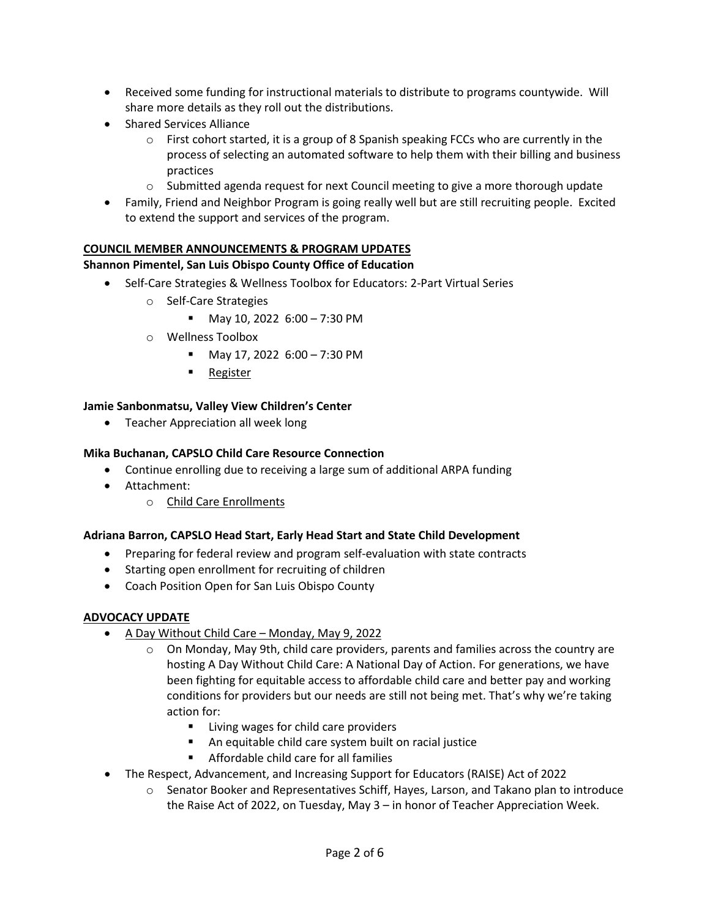- Received some funding for instructional materials to distribute to programs countywide. Will share more details as they roll out the distributions.
- Shared Services Alliance
	- $\circ$  First cohort started, it is a group of 8 Spanish speaking FCCs who are currently in the process of selecting an automated software to help them with their billing and business practices
	- $\circ$  Submitted agenda request for next Council meeting to give a more thorough update
- Family, Friend and Neighbor Program is going really well but are still recruiting people. Excited to extend the support and services of the program.

# **COUNCIL MEMBER ANNOUNCEMENTS & PROGRAM UPDATES**

# **Shannon Pimentel, San Luis Obispo County Office of Education**

- Self-Care Strategies & Wellness Toolbox for Educators: 2-Part Virtual Series
	- o Self-Care Strategies
		- May 10, 2022 6:00 7:30 PM
	- o Wellness Toolbox
		- May 17, 2022 6:00 7:30 PM
		- [Register](https://slocoe.k12oms.org/964-217272)

### **Jamie Sanbonmatsu, Valley View Children's Center**

• Teacher Appreciation all week long

## **Mika Buchanan, CAPSLO Child Care Resource Connection**

- Continue enrolling due to receiving a large sum of additional ARPA funding
- Attachment:
	- o [Child Care Enrollments](https://drive.google.com/file/d/1qC4BhUQb6jjNXSwbPswlM5imReS7BS8r/view?usp=sharing)

### **Adriana Barron, CAPSLO Head Start, Early Head Start and State Child Development**

- Preparing for federal review and program self-evaluation with state contracts
- Starting open enrollment for recruiting of children
- Coach Position Open for San Luis Obispo County

### **ADVOCACY UPDATE**

- [A Day Without Child Care](https://communitychangeaction.org/childcare-may9/)  Monday, May 9, 2022
	- $\circ$  On Monday, May 9th, child care providers, parents and families across the country are [hosting A Day Without Child Care: A National Day of Action. For generations, we have](https://action.momsrising.org/sign/Child_Care_rapid_response/?eType=EmailBlastContent&eId=e65253fe-f0aa-44e9-9eea-6f2f03e81f66)  [been fighting for equitable access to affordable child care and better pay and working](https://action.momsrising.org/sign/Child_Care_rapid_response/?eType=EmailBlastContent&eId=e65253fe-f0aa-44e9-9eea-6f2f03e81f66)  [conditions for providers but our needs are still not being met. That's why we're taking](https://action.momsrising.org/sign/Child_Care_rapid_response/?eType=EmailBlastContent&eId=e65253fe-f0aa-44e9-9eea-6f2f03e81f66)  [action for:](https://action.momsrising.org/sign/Child_Care_rapid_response/?eType=EmailBlastContent&eId=e65253fe-f0aa-44e9-9eea-6f2f03e81f66)
		- **EXEC** [Living wages for child care providers](https://action.momsrising.org/sign/Child_Care_rapid_response/?eType=EmailBlastContent&eId=e65253fe-f0aa-44e9-9eea-6f2f03e81f66)
		- [An equitable child care system built on racial justice](https://action.momsrising.org/sign/Child_Care_rapid_response/?eType=EmailBlastContent&eId=e65253fe-f0aa-44e9-9eea-6f2f03e81f66)
		- [Affordable child care for all families](https://action.momsrising.org/sign/Child_Care_rapid_response/?eType=EmailBlastContent&eId=e65253fe-f0aa-44e9-9eea-6f2f03e81f66)
- The Respect, Advancement, and Increasing Support for Educators (RAISE) Act of 2022
	- o Senator Booker and Representatives Schiff, Hayes, Larson, and Takano plan to introduce the Raise Act of 2022, on Tuesday, May 3 – in honor of Teacher Appreciation Week.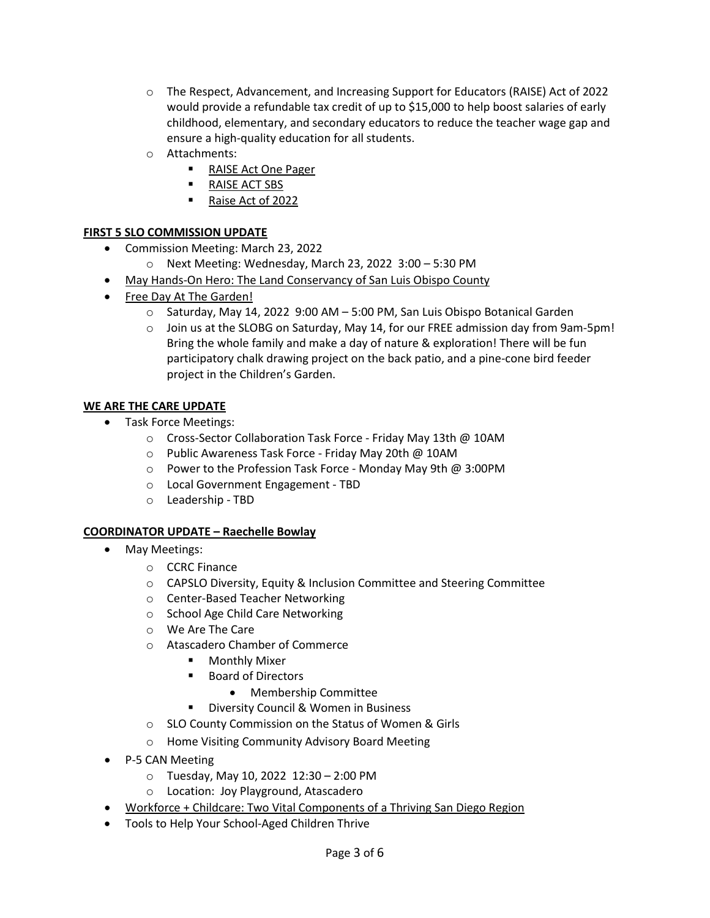- o The Respect, Advancement, and Increasing Support for Educators (RAISE) Act of 2022 would provide a refundable tax credit of up to \$15,000 to help boost salaries of early childhood, elementary, and secondary educators to reduce the teacher wage gap and ensure a high-quality education for all students.
- o Attachments:
	- [RAISE Act One Pager](https://drive.google.com/file/d/1CGhF7lHmxtE-NiAJVM3b1e1qALenlszV/view?usp=sharing)
	- **[RAISE ACT SBS](https://drive.google.com/file/d/1hlo5p9Peq1-tnbr7d062GTEp6tP24rdN/view?usp=sharing)**
	- [Raise Act of 2022](https://drive.google.com/file/d/1Bo8heM8Sc1RY16fK0LdeXofpcdX87zBk/view?usp=sharing)

## **FIRST 5 SLO COMMISSION UPDATE**

- Commission Meeting: March 23, 2022
	- o Next Meeting: Wednesday, March 23, 2022 3:00 5:30 PM
- May Hands-[On Hero: The Land Conservancy of San Luis Obispo County](https://drive.google.com/file/d/1CHjFs8T_9m6QNqjRfLhQ9o1iBDnjPr28/view?usp=sharing)
- [Free Day At The Garden!](https://www.slobg.org/calendar/2021/11/17/free-day-at-the-garden-7w2xk-zcxyw-ky6t2-jpkpt-2egp5)
	- o Saturday, May 14, 2022 9:00 AM 5:00 PM, San Luis Obispo Botanical Garden
	- o Join us at the SLOBG on Saturday, May 14, for our FREE admission day from 9am-5pm! Bring the whole family and make a day of nature & exploration! There will be fun participatory chalk drawing project on the back patio, and a pine-cone bird feeder project in the Children's Garden.

## **WE ARE THE CARE UPDATE**

- Task Force Meetings:
	- o Cross-Sector Collaboration Task Force Friday May 13th @ 10AM
	- o Public Awareness Task Force Friday May 20th @ 10AM
	- o Power to the Profession Task Force Monday May 9th @ 3:00PM
	- o Local Government Engagement TBD
	- o Leadership TBD

### **COORDINATOR UPDATE – Raechelle Bowlay**

- May Meetings:
	- o CCRC Finance
	- o CAPSLO Diversity, Equity & Inclusion Committee and Steering Committee
	- o Center-Based Teacher Networking
	- o School Age Child Care Networking
	- o We Are The Care
	- o Atascadero Chamber of Commerce
		- **•** Monthly Mixer
		- Board of Directors
			- Membership Committee
		- **Diversity Council & Women in Business**
	- o SLO County Commission on the Status of Women & Girls
	- o Home Visiting Community Advisory Board Meeting
- P-5 CAN Meeting
	- o Tuesday, May 10, 2022 12:30 2:00 PM
	- o Location: Joy Playground, Atascadero
- [Workforce + Childcare: Two Vital Components of a Thriving San Diego Region](https://childcare.workforce.org/?utm_source=canva&utm_medium=iframely)
- Tools to Help Your School-Aged Children Thrive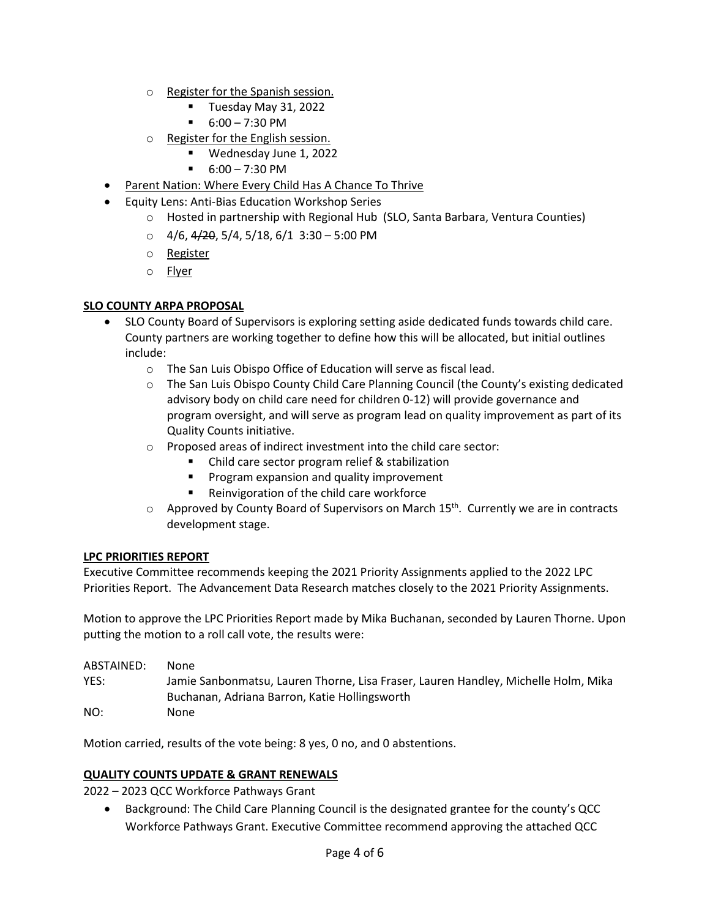- o [Register for the Spanish session.](http://events.r20.constantcontact.com/register/event?llr=bkpo6zqab&oeidk=a07eizxvxd15cd81a43)
	- **Tuesday May 31, 2022**
	- $-6:00 7:30 \text{ PM}$
- o [Register for the English session.](http://events.r20.constantcontact.com/register/event?llr=bkpo6zqab&oeidk=a07ej5923hd9a4c9ffa)
	- Wednesday June 1, 2022
	- $-6:00 7:30 \text{ PM}$
- [Parent Nation: Where Every Child Has A Chance To Thrive](https://parentnation.org/)
- Equity Lens: Anti-Bias Education Workshop Series
	- o Hosted in partnership with Regional Hub (SLO, Santa Barbara, Ventura Counties)
	- $\circ$  4/6, 4/20, 5/4, 5/18, 6/1 3:30 5:00 PM
	- o [Register](https://us02web.zoom.us/meeting/register/tZUlcuyurD8jE90Mjui1V7V-IVzkE1fKMEpZ)
	- o [Flyer](https://drive.google.com/file/d/1pQNPQA9z6wPkbOIBAItrEAyPx4pCNFba/view?usp=sharing)

# **SLO COUNTY ARPA PROPOSAL**

- SLO County Board of Supervisors is exploring setting aside dedicated funds towards child care. County partners are working together to define how this will be allocated, but initial outlines include:
	- o The San Luis Obispo Office of Education will serve as fiscal lead.
	- o The San Luis Obispo County Child Care Planning Council (the County's existing dedicated advisory body on child care need for children 0-12) will provide governance and program oversight, and will serve as program lead on quality improvement as part of its Quality Counts initiative.
	- o Proposed areas of indirect investment into the child care sector:
		- Child care sector program relief & stabilization
		- Program expansion and quality improvement
		- Reinvigoration of the child care workforce
	- $\circ$  Approved by County Board of Supervisors on March 15<sup>th</sup>. Currently we are in contracts development stage.

# **LPC PRIORITIES REPORT**

Executive Committee recommends keeping the 2021 Priority Assignments applied to the 2022 LPC Priorities Report. The Advancement Data Research matches closely to the 2021 Priority Assignments.

Motion to approve the LPC Priorities Report made by Mika Buchanan, seconded by Lauren Thorne. Upon putting the motion to a roll call vote, the results were:

| ABSTAINED: | None.                                                                              |
|------------|------------------------------------------------------------------------------------|
| YES:       | Jamie Sanbonmatsu, Lauren Thorne, Lisa Fraser, Lauren Handley, Michelle Holm, Mika |
|            | Buchanan, Adriana Barron, Katie Hollingsworth                                      |
| NO:        | <b>None</b>                                                                        |

Motion carried, results of the vote being: 8 yes, 0 no, and 0 abstentions.

# **QUALITY COUNTS UPDATE & GRANT RENEWALS**

2022 – 2023 QCC Workforce Pathways Grant

• Background: The Child Care Planning Council is the designated grantee for the county's QCC Workforce Pathways Grant. Executive Committee recommend approving the attached QCC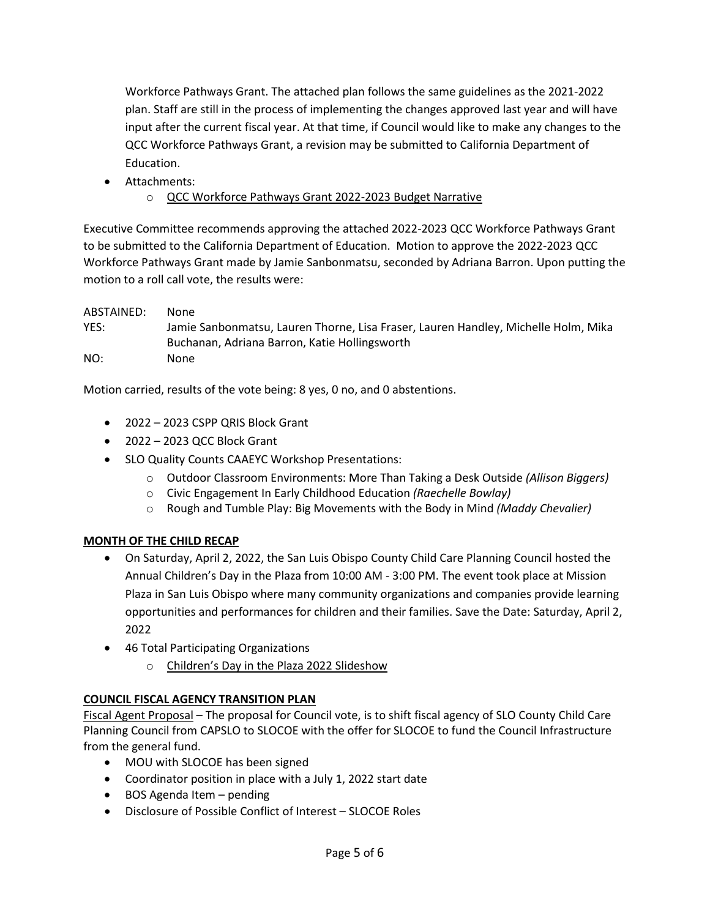Workforce Pathways Grant. The attached plan follows the same guidelines as the 2021-2022 plan. Staff are still in the process of implementing the changes approved last year and will have input after the current fiscal year. At that time, if Council would like to make any changes to the QCC Workforce Pathways Grant, a revision may be submitted to California Department of Education.

- Attachments:
	- o [QCC Workforce Pathways Grant 2022](https://drive.google.com/file/d/1RekW27JLs96HlrRnBYSPvQ4fQxSMBNHf/view?usp=sharing)-2023 Budget Narrative

Executive Committee recommends approving the attached 2022-2023 QCC Workforce Pathways Grant to be submitted to the California Department of Education. Motion to approve the 2022-2023 QCC Workforce Pathways Grant made by Jamie Sanbonmatsu, seconded by Adriana Barron. Upon putting the motion to a roll call vote, the results were:

ABSTAINED: None YES: Jamie Sanbonmatsu, Lauren Thorne, Lisa Fraser, Lauren Handley, Michelle Holm, Mika Buchanan, Adriana Barron, Katie Hollingsworth NO: None

Motion carried, results of the vote being: 8 yes, 0 no, and 0 abstentions.

- 2022 2023 CSPP QRIS Block Grant
- 2022 2023 QCC Block Grant
- SLO Quality Counts CAAEYC Workshop Presentations:
	- o Outdoor Classroom Environments: More Than Taking a Desk Outside *(Allison Biggers)*
	- o Civic Engagement In Early Childhood Education *(Raechelle Bowlay)*
	- o Rough and Tumble Play: Big Movements with the Body in Mind *(Maddy Chevalier)*

# **MONTH OF THE CHILD RECAP**

- On Saturday, April 2, 2022, the San Luis Obispo County Child Care Planning Council hosted the Annual Children's Day in the Plaza from 10:00 AM - 3:00 PM. The event took place at Mission Plaza in San Luis Obispo where many community organizations and companies provide learning opportunities and performances for children and their families. Save the Date: Saturday, April 2, 2022
- 46 Total Participating Organizations
	- o [Children's Day in the Plaza 2022 Slideshow](https://www.canva.com/design/DAE88HvOvfk/watch?utm_content=DAE88HvOvfk&utm_campaign=designshare&utm_medium=link&utm_source=publishsharelink)

# **COUNCIL FISCAL AGENCY TRANSITION PLAN**

[Fiscal Agent Proposal](http://www.sanluischildcare.org/fiscal-agent-proposal.html) – The proposal for Council vote, is to shift fiscal agency of SLO County Child Care Planning Council from CAPSLO to SLOCOE with the offer for SLOCOE to fund the Council Infrastructure from the general fund.

- MOU with SLOCOE has been signed
- Coordinator position in place with a July 1, 2022 start date
- BOS Agenda Item pending
- Disclosure of Possible Conflict of Interest SLOCOE Roles